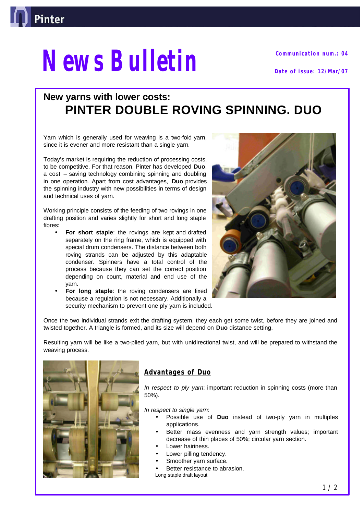

# *News Bulletin* **Date of issue: 12/Mar/07**

**Communication num.: 04**

# **New yarns with lower costs: PINTER DOUBLE ROVING SPINNING. DUO**

Yarn which is generally used for weaving is a two-fold yarn, since it is evener and more resistant than a single yarn.

Today's market is requiring the reduction of processing costs, to be competitive. For that reason, Pinter has developed **Duo**, a cost – saving technology combining spinning and doubling in one operation. Apart from cost advantages, **Duo** provides the spinning industry with new possibilities in terms of design and technical uses of yarn.

Working principle consists of the feeding of two rovings in one drafting position and varies slightly for short and long staple fibres:

- **For short staple:** the rovings are kept and drafted separately on the ring frame, which is equipped with special drum condensers. The distance between both roving strands can be adjusted by this adaptable condenser. Spinners have a total control of the process because they can set the correct position depending on count, material and end use of the yarn.
- **For long staple**: the roving condensers are fixed because a regulation is not necessary. Additionally a security mechanism to prevent one ply yarn is included.



Once the two individual strands exit the drafting system, they each get some twist, before they are joined and twisted together. A triangle is formed, and its size will depend on **Duo** distance setting.

Resulting yarn will be like a two-plied yarn, but with unidirectional twist, and will be prepared to withstand the weaving process.



## **Advantages of Duo**

*In respect to ply yarn*: important reduction in spinning costs (more than 50%).

*In respect to single yarn*:

- Possible use of **Duo** instead of two-ply yarn in multiples applications.
- Better mass evenness and yarn strength values; important decrease of thin places of 50%; circular yarn section.
- Lower hairiness.
- Lower pilling tendency.
- Smoother yarn surface.
- Better resistance to abrasion.
- Long staple draft layout